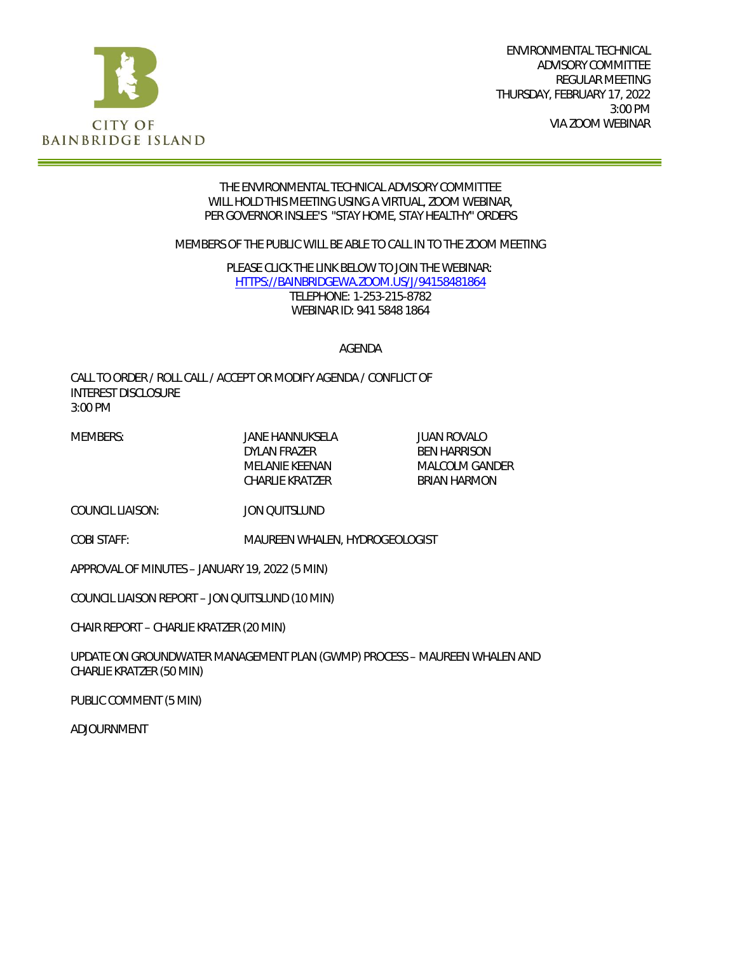

#### THE ENVIRONMENTAL TECHNICAL ADVISORY COMMITTEE WILL HOLD THIS MEETING USING A VIRTUAL, ZOOM WEBINAR, PER GOVERNOR INSLEE'S "STAY HOME, STAY HEALTHY" ORDERS

MEMBERS OF THE PUBLIC WILL BE ABLE TO CALL IN TO THE ZOOM MEETING

PLEASE CLICK THE LINK BELOW TO JOIN THE WEBINAR: [HTTPS://BAINBRIDGEWA.ZOOM.US/J/94158481864](https://bainbridgewa.zoom.us/j/94158481864) TELEPHONE: 1-253-215-8782 WEBINAR ID: 941 5848 1864

#### AGENDA

CALL TO ORDER / ROLL CALL / ACCEPT OR MODIFY AGENDA / CONFLICT OF INTEREST DISCLOSURE 3:00 PM

MEMBERS: JANE HANNUKSELA JUAN ROVALO DYLAN FRAZER BEN HARRISON CHARLIE KRATZER BRIAN HARMON

MELANIE KEENAN MALCOLM GANDER

COUNCIL LIAISON: JON QUITSLUND

COBI STAFF: MAUREEN WHALEN, HYDROGEOLOGIST

APPROVAL OF MINUTES – JANUARY 19, 2022 (5 MIN)

COUNCIL LIAISON REPORT – JON QUITSLUND (10 MIN)

CHAIR REPORT – CHARLIE KRATZER (20 MIN)

UPDATE ON GROUNDWATER MANAGEMENT PLAN (GWMP) PROCESS – MAUREEN WHALEN AND CHARLIE KRATZER (50 MIN)

PUBLIC COMMENT (5 MIN)

ADJOURNMENT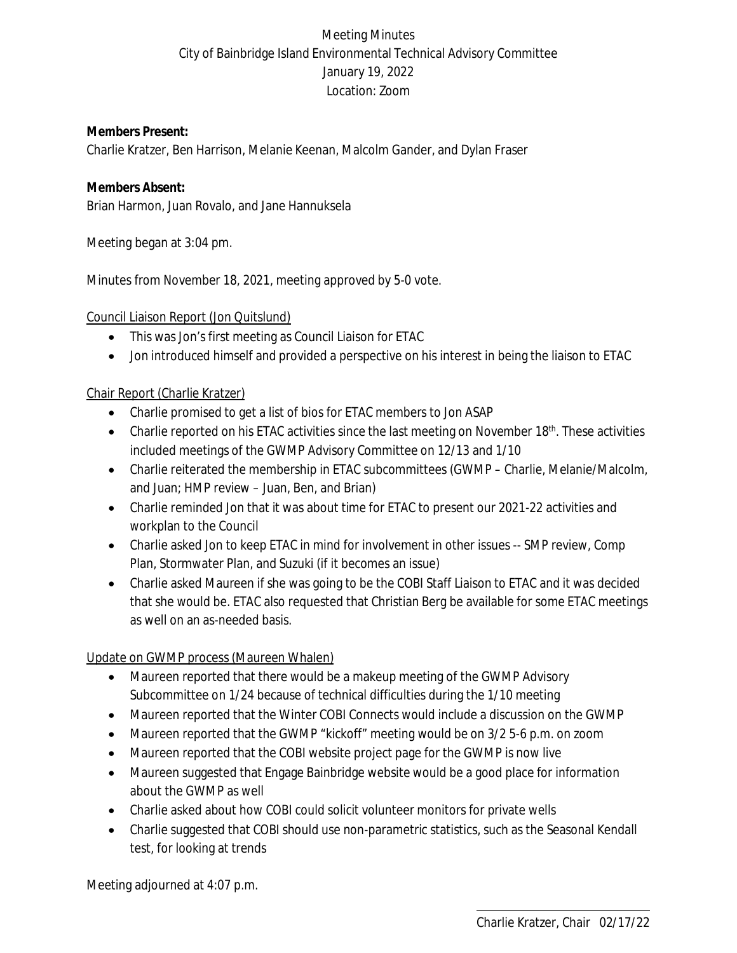# Meeting Minutes City of Bainbridge Island Environmental Technical Advisory Committee January 19, 2022 Location: Zoom

**Members Present:** Charlie Kratzer, Ben Harrison, Melanie Keenan, Malcolm Gander, and Dylan Fraser

**Members Absent:** Brian Harmon, Juan Rovalo, and Jane Hannuksela

Meeting began at 3:04 pm.

Minutes from November 18, 2021, meeting approved by 5-0 vote.

Council Liaison Report (Jon Quitslund)

- This was Jon's first meeting as Council Liaison for ETAC
- Jon introduced himself and provided a perspective on his interest in being the liaison to ETAC

## Chair Report (Charlie Kratzer)

- Charlie promised to get a list of bios for ETAC members to Jon ASAP
- **•** Charlie reported on his ETAC activities since the last meeting on November  $18<sup>th</sup>$ . These activities included meetings of the GWMP Advisory Committee on 12/13 and 1/10
- Charlie reiterated the membership in ETAC subcommittees (GWMP Charlie, Melanie/Malcolm, and Juan; HMP review – Juan, Ben, and Brian)
- Charlie reminded Jon that it was about time for ETAC to present our 2021-22 activities and workplan to the Council
- Charlie asked Jon to keep ETAC in mind for involvement in other issues -- SMP review, Comp Plan, Stormwater Plan, and Suzuki (if it becomes an issue)
- Charlie asked Maureen if she was going to be the COBI Staff Liaison to ETAC and it was decided that she would be. ETAC also requested that Christian Berg be available for some ETAC meetings as well on an as-needed basis.

## Update on GWMP process (Maureen Whalen)

- Maureen reported that there would be a makeup meeting of the GWMP Advisory Subcommittee on 1/24 because of technical difficulties during the 1/10 meeting
- Maureen reported that the Winter COBI Connects would include a discussion on the GWMP
- Maureen reported that the GWMP "kickoff" meeting would be on 3/2 5-6 p.m. on zoom
- Maureen reported that the COBI website project page for the GWMP is now live
- Maureen suggested that Engage Bainbridge website would be a good place for information about the GWMP as well
- Charlie asked about how COBI could solicit volunteer monitors for private wells
- Charlie suggested that COBI should use non-parametric statistics, such as the Seasonal Kendall test, for looking at trends

Meeting adjourned at 4:07 p.m.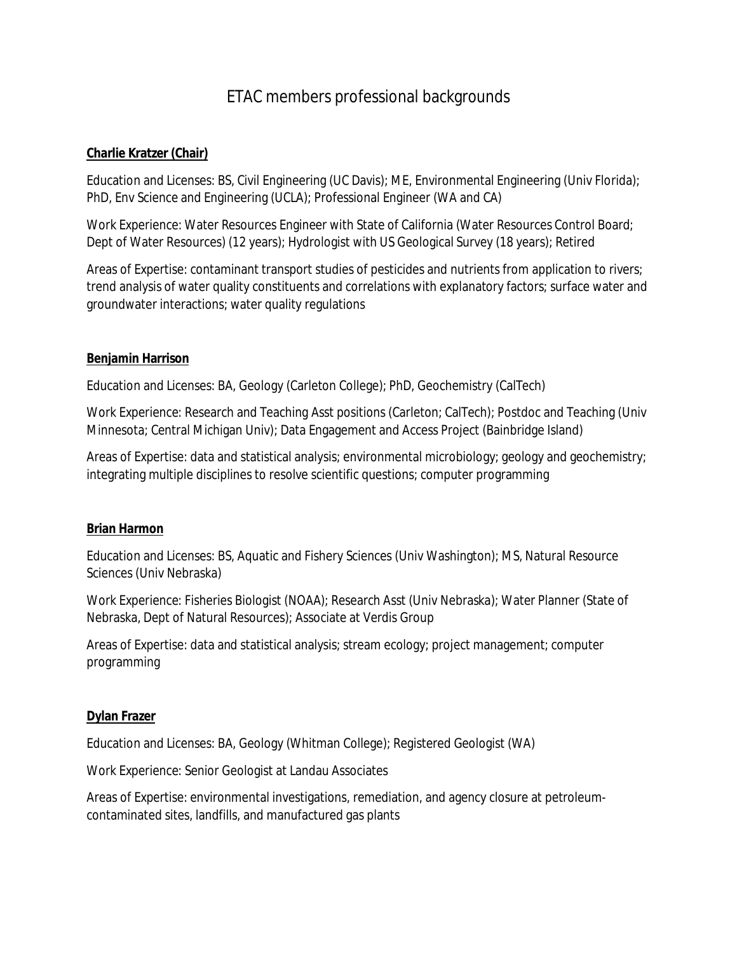# ETAC members professional backgrounds

#### **Charlie Kratzer (Chair)**

Education and Licenses: BS, Civil Engineering (UC Davis); ME, Environmental Engineering (Univ Florida); PhD, Env Science and Engineering (UCLA); Professional Engineer (WA and CA)

Work Experience: Water Resources Engineer with State of California (Water Resources Control Board; Dept of Water Resources) (12 years); Hydrologist with US Geological Survey (18 years); Retired

Areas of Expertise: contaminant transport studies of pesticides and nutrients from application to rivers; trend analysis of water quality constituents and correlations with explanatory factors; surface water and groundwater interactions; water quality regulations

#### **Benjamin Harrison**

Education and Licenses: BA, Geology (Carleton College); PhD, Geochemistry (CalTech)

Work Experience: Research and Teaching Asst positions (Carleton; CalTech); Postdoc and Teaching (Univ Minnesota; Central Michigan Univ); Data Engagement and Access Project (Bainbridge Island)

Areas of Expertise: data and statistical analysis; environmental microbiology; geology and geochemistry; integrating multiple disciplines to resolve scientific questions; computer programming

#### **Brian Harmon**

Education and Licenses: BS, Aquatic and Fishery Sciences (Univ Washington); MS, Natural Resource Sciences (Univ Nebraska)

Work Experience: Fisheries Biologist (NOAA); Research Asst (Univ Nebraska); Water Planner (State of Nebraska, Dept of Natural Resources); Associate at Verdis Group

Areas of Expertise: data and statistical analysis; stream ecology; project management; computer programming

#### **Dylan Frazer**

Education and Licenses: BA, Geology (Whitman College); Registered Geologist (WA)

Work Experience: Senior Geologist at Landau Associates

Areas of Expertise: environmental investigations, remediation, and agency closure at petroleumcontaminated sites, landfills, and manufactured gas plants